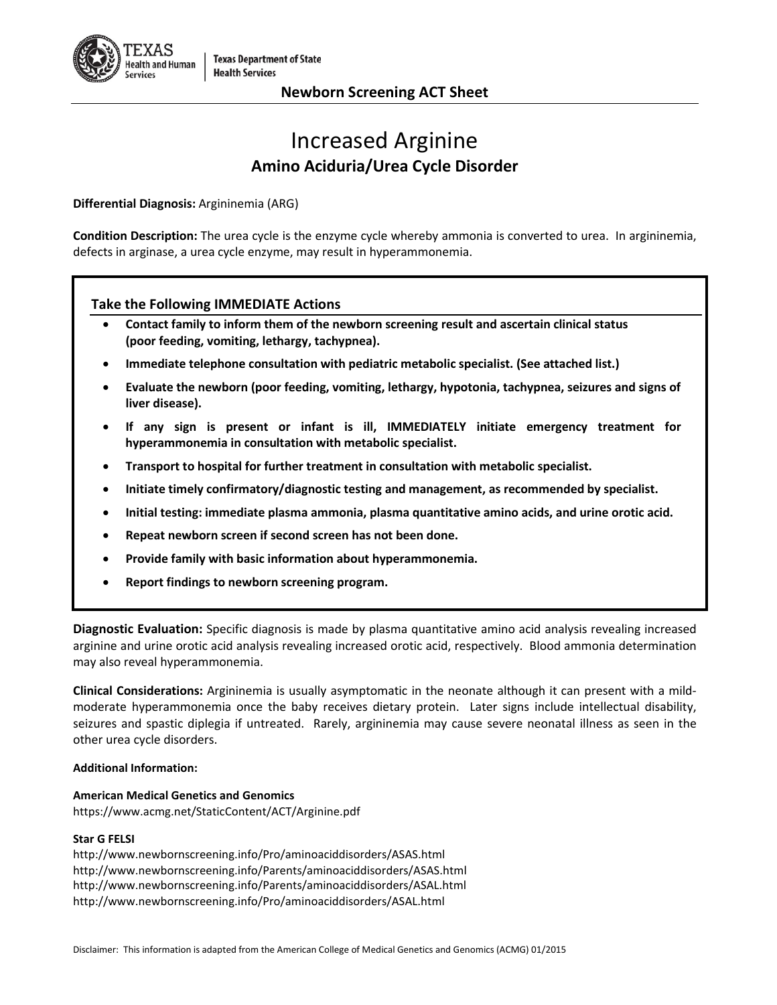

# **Newborn Screening ACT Sheet**

# Increased Arginine **Amino Aciduria/Urea Cycle Disorder**

**Differential Diagnosis:** Argininemia (ARG)

**Condition Description:** The urea cycle is the enzyme cycle whereby ammonia is converted to urea. In argininemia, defects in arginase, a urea cycle enzyme, may result in hyperammonemia.

# **Take the Following IMMEDIATE Actions**

- **Contact family to inform them of the newborn screening result and ascertain clinical status (poor feeding, vomiting, lethargy, tachypnea).**
- **Immediate telephone consultation with pediatric metabolic specialist. (See attached list.)**
- **Evaluate the newborn (poor feeding, vomiting, lethargy, hypotonia, tachypnea, seizures and signs of liver disease).**
- **If any sign is present or infant is ill, IMMEDIATELY initiate emergency treatment for hyperammonemia in consultation with metabolic specialist.**
- **Transport to hospital for further treatment in consultation with metabolic specialist.**
- **Initiate timely confirmatory/diagnostic testing and management, as recommended by specialist.**
- **Initial testing: immediate plasma ammonia, plasma quantitative amino acids, and urine orotic acid.**
- **Repeat newborn screen if second screen has not been done.**
- **Provide family with basic information about hyperammonemia.**
- **Report findings to newborn screening program.**

**Diagnostic Evaluation:** Specific diagnosis is made by plasma quantitative amino acid analysis revealing increased arginine and urine orotic acid analysis revealing increased orotic acid, respectively. Blood ammonia determination may also reveal hyperammonemia.

**Clinical Considerations:** Argininemia is usually asymptomatic in the neonate although it can present with a mildmoderate hyperammonemia once the baby receives dietary protein. Later signs include intellectual disability, seizures and spastic diplegia if untreated. Rarely, argininemia may cause severe neonatal illness as seen in the other urea cycle disorders.

### **Additional Information:**

**American Medical Genetics and Genomics** <https://www.acmg.net/StaticContent/ACT/Arginine.pdf>

### **Star G FELSI**

<http://www.newbornscreening.info/Pro/aminoaciddisorders/ASAS.html> <http://www.newbornscreening.info/Parents/aminoaciddisorders/ASAS.html> <http://www.newbornscreening.info/Parents/aminoaciddisorders/ASAL.html> <http://www.newbornscreening.info/Pro/aminoaciddisorders/ASAL.html>